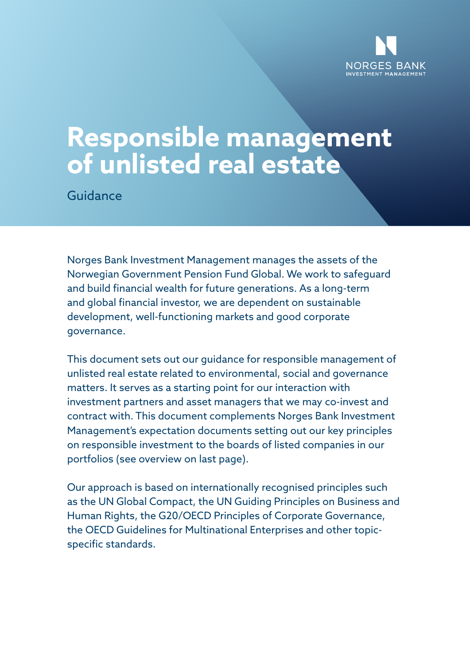

# **Responsible management of unlisted real estate**

Guidance

Norges Bank Investment Management manages the assets of the Norwegian Government Pension Fund Global. We work to safeguard and build financial wealth for future generations. As a long-term and global financial investor, we are dependent on sustainable development, well-functioning markets and good corporate governance.

This document sets out our guidance for responsible management of unlisted real estate related to environmental, social and governance matters. It serves as a starting point for our interaction with investment partners and asset managers that we may co-invest and contract with. This document complements Norges Bank Investment Management's expectation documents setting out our key principles on responsible investment to the boards of listed companies in our portfolios (see overview on last page).

Our approach is based on internationally recognised principles such as the UN Global Compact, the UN Guiding Principles on Business and Human Rights, the G20/OECD Principles of Corporate Governance, the OECD Guidelines for Multinational Enterprises and other topicspecific standards.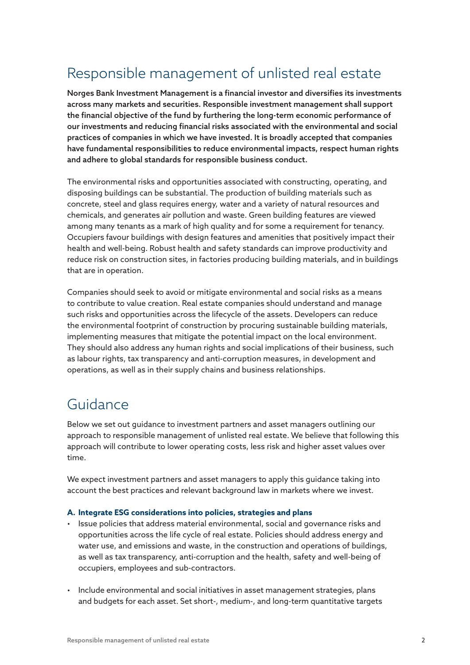## Responsible management of unlisted real estate

Norges Bank Investment Management is a financial investor and diversifies its investments across many markets and securities. Responsible investment management shall support the financial objective of the fund by furthering the long-term economic performance of our investments and reducing financial risks associated with the environmental and social practices of companies in which we have invested. It is broadly accepted that companies have fundamental responsibilities to reduce environmental impacts, respect human rights and adhere to global standards for responsible business conduct.

The environmental risks and opportunities associated with constructing, operating, and disposing buildings can be substantial. The production of building materials such as concrete, steel and glass requires energy, water and a variety of natural resources and chemicals, and generates air pollution and waste. Green building features are viewed among many tenants as a mark of high quality and for some a requirement for tenancy. Occupiers favour buildings with design features and amenities that positively impact their health and well-being. Robust health and safety standards can improve productivity and reduce risk on construction sites, in factories producing building materials, and in buildings that are in operation.

Companies should seek to avoid or mitigate environmental and social risks as a means to contribute to value creation. Real estate companies should understand and manage such risks and opportunities across the lifecycle of the assets. Developers can reduce the environmental footprint of construction by procuring sustainable building materials, implementing measures that mitigate the potential impact on the local environment. They should also address any human rights and social implications of their business, such as labour rights, tax transparency and anti-corruption measures, in development and operations, as well as in their supply chains and business relationships.

### Guidance

Below we set out guidance to investment partners and asset managers outlining our approach to responsible management of unlisted real estate. We believe that following this approach will contribute to lower operating costs, less risk and higher asset values over time.

We expect investment partners and asset managers to apply this guidance taking into account the best practices and relevant background law in markets where we invest.

#### **A. Integrate ESG considerations into policies, strategies and plans**

- Issue policies that address material environmental, social and governance risks and opportunities across the life cycle of real estate. Policies should address energy and water use, and emissions and waste, in the construction and operations of buildings, as well as tax transparency, anti-corruption and the health, safety and well-being of occupiers, employees and sub-contractors.
- Include environmental and social initiatives in asset management strategies, plans and budgets for each asset. Set short-, medium-, and long-term quantitative targets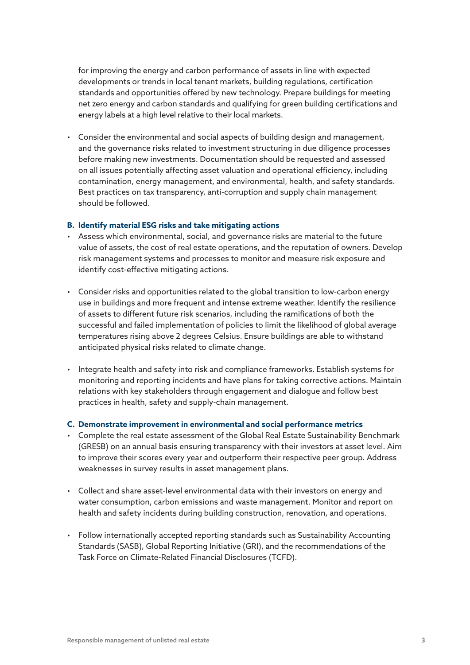for improving the energy and carbon performance of assets in line with expected developments or trends in local tenant markets, building regulations, certification standards and opportunities offered by new technology. Prepare buildings for meeting net zero energy and carbon standards and qualifying for green building certifications and energy labels at a high level relative to their local markets.

• Consider the environmental and social aspects of building design and management, and the governance risks related to investment structuring in due diligence processes before making new investments. Documentation should be requested and assessed on all issues potentially affecting asset valuation and operational efficiency, including contamination, energy management, and environmental, health, and safety standards. Best practices on tax transparency, anti-corruption and supply chain management should be followed.

#### **B. Identify material ESG risks and take mitigating actions**

- Assess which environmental, social, and governance risks are material to the future value of assets, the cost of real estate operations, and the reputation of owners. Develop risk management systems and processes to monitor and measure risk exposure and identify cost-effective mitigating actions.
- Consider risks and opportunities related to the global transition to low-carbon energy use in buildings and more frequent and intense extreme weather. Identify the resilience of assets to different future risk scenarios, including the ramifications of both the successful and failed implementation of policies to limit the likelihood of global average temperatures rising above 2 degrees Celsius. Ensure buildings are able to withstand anticipated physical risks related to climate change.
- Integrate health and safety into risk and compliance frameworks. Establish systems for monitoring and reporting incidents and have plans for taking corrective actions. Maintain relations with key stakeholders through engagement and dialogue and follow best practices in health, safety and supply-chain management*.*

#### **C. Demonstrate improvement in environmental and social performance metrics**

- Complete the real estate assessment of the Global Real Estate Sustainability Benchmark (GRESB) on an annual basis ensuring transparency with their investors at asset level. Aim to improve their scores every year and outperform their respective peer group. Address weaknesses in survey results in asset management plans.
- Collect and share asset-level environmental data with their investors on energy and water consumption, carbon emissions and waste management. Monitor and report on health and safety incidents during building construction, renovation, and operations.
- Follow internationally accepted reporting standards such as Sustainability Accounting Standards (SASB), Global Reporting Initiative (GRI), and the recommendations of the Task Force on Climate-Related Financial Disclosures (TCFD).